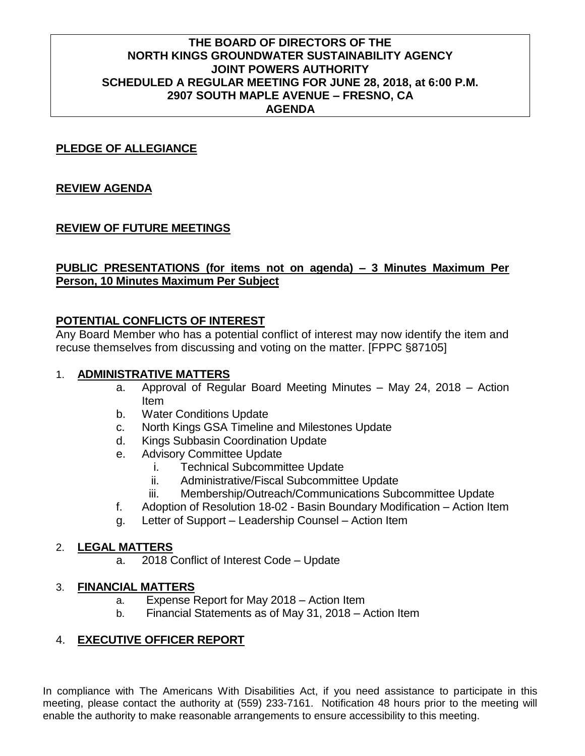# **THE BOARD OF DIRECTORS OF THE NORTH KINGS GROUNDWATER SUSTAINABILITY AGENCY JOINT POWERS AUTHORITY SCHEDULED A REGULAR MEETING FOR JUNE 28, 2018, at 6:00 P.M. 2907 SOUTH MAPLE AVENUE – FRESNO, CA AGENDA**

## **PLEDGE OF ALLEGIANCE**

## **REVIEW AGENDA**

# **REVIEW OF FUTURE MEETINGS**

## **PUBLIC PRESENTATIONS (for items not on agenda) – 3 Minutes Maximum Per Person, 10 Minutes Maximum Per Subject**

### **POTENTIAL CONFLICTS OF INTEREST**

Any Board Member who has a potential conflict of interest may now identify the item and recuse themselves from discussing and voting on the matter. [FPPC §87105]

# 1. **ADMINISTRATIVE MATTERS**

- a. Approval of Regular Board Meeting Minutes May 24, 2018 Action Item
- b. Water Conditions Update
- c. North Kings GSA Timeline and Milestones Update
- d. Kings Subbasin Coordination Update
- e. Advisory Committee Update
	- i. Technical Subcommittee Update
	- ii. Administrative/Fiscal Subcommittee Update
	- iii. Membership/Outreach/Communications Subcommittee Update
- f. Adoption of Resolution 18-02 Basin Boundary Modification Action Item
- g. Letter of Support Leadership Counsel Action Item

#### 2. **LEGAL MATTERS**

a. 2018 Conflict of Interest Code – Update

#### 3. **FINANCIAL MATTERS**

- a. Expense Report for May 2018 Action Item
- b. Financial Statements as of May 31, 2018 Action Item

# 4. **EXECUTIVE OFFICER REPORT**

In compliance with The Americans With Disabilities Act, if you need assistance to participate in this meeting, please contact the authority at (559) 233-7161. Notification 48 hours prior to the meeting will enable the authority to make reasonable arrangements to ensure accessibility to this meeting.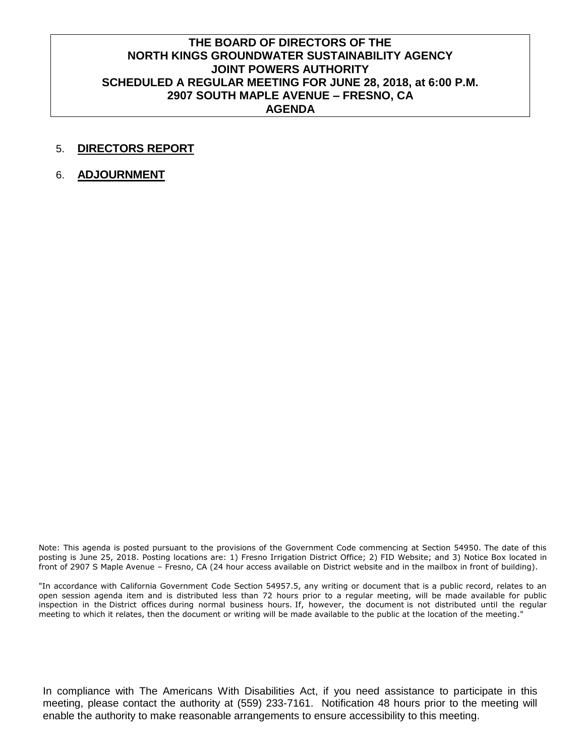# **THE BOARD OF DIRECTORS OF THE NORTH KINGS GROUNDWATER SUSTAINABILITY AGENCY JOINT POWERS AUTHORITY SCHEDULED A REGULAR MEETING FOR JUNE 28, 2018, at 6:00 P.M. 2907 SOUTH MAPLE AVENUE – FRESNO, CA AGENDA**

#### 5. **DIRECTORS REPORT**

6. **ADJOURNMENT**

Note: This agenda is posted pursuant to the provisions of the Government Code commencing at Section 54950. The date of this posting is June 25, 2018. Posting locations are: 1) Fresno Irrigation District Office; 2) FID Website; and 3) Notice Box located in front of 2907 S Maple Avenue – Fresno, CA (24 hour access available on District website and in the mailbox in front of building).

"In accordance with California Government Code Section 54957.5, any writing or document that is a public record, relates to an open session agenda item and is distributed less than 72 hours prior to a regular meeting, will be made available for public inspection in the District offices during normal business hours. If, however, the document is not distributed until the regular meeting to which it relates, then the document or writing will be made available to the public at the location of the meeting."

In compliance with The Americans With Disabilities Act, if you need assistance to participate in this meeting, please contact the authority at (559) 233-7161. Notification 48 hours prior to the meeting will enable the authority to make reasonable arrangements to ensure accessibility to this meeting.